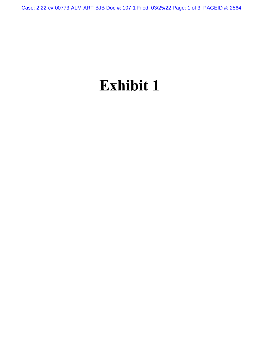Case: 2:22-cv-00773-ALM-ART-BJB Doc #: 107-1 Filed: 03/25/22 Page: 1 of 3 PAGEID #: 2564

## **Exhibit 1**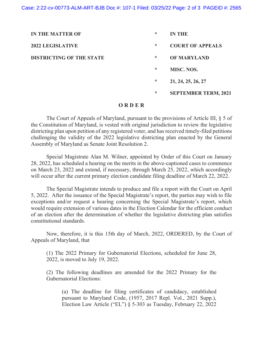| <b>IN THE MATTER OF</b>         | ∗       | <b>IN THE</b>               |
|---------------------------------|---------|-----------------------------|
| <b>2022 LEGISLATIVE</b>         | ∗       | <b>COURT OF APPEALS</b>     |
| <b>DISTRICTING OF THE STATE</b> | $\ast$  | <b>OF MARYLAND</b>          |
|                                 | $\star$ | <b>MISC. NOS.</b>           |
|                                 | ∗       | 21, 24, 25, 26, 27          |
|                                 | $\star$ | <b>SEPTEMBER TERM, 2021</b> |

## **O R D E R**

The Court of Appeals of Maryland, pursuant to the provisions of Article III, § 5 of the Constitution of Maryland, is vested with original jurisdiction to review the legislative districting plan upon petition of any registered voter, and has received timely-filed petitions challenging the validity of the 2022 legislative districting plan enacted by the General Assembly of Maryland as Senate Joint Resolution 2.

Special Magistrate Alan M. Wilner, appointed by Order of this Court on January 28, 2022, has scheduled a hearing on the merits in the above-captioned cases to commence on March 23, 2022 and extend, if necessary, through March 25, 2022, which accordingly will occur after the current primary election candidate filing deadline of March 22, 2022.

The Special Magistrate intends to produce and file a report with the Court on April 5, 2022. After the issuance of the Special Magistrate's report, the parties may wish to file exceptions and/or request a hearing concerning the Special Magistrate's report, which would require extension of various dates in the Election Calendar for the efficient conduct of an election after the determination of whether the legislative districting plan satisfies constitutional standards.

Now, therefore, it is this 15th day of March, 2022, ORDERED, by the Court of Appeals of Maryland, that

(1) The 2022 Primary for Gubernatorial Elections, scheduled for June 28, 2022, is moved to July 19, 2022.

(2) The following deadlines are amended for the 2022 Primary for the Gubernatorial Elections:

(a) The deadline for filing certificates of candidacy, established pursuant to Maryland Code, (1957, 2017 Repl. Vol., 2021 Supp.), Election Law Article ("EL") § 5-303 as Tuesday, February 22, 2022